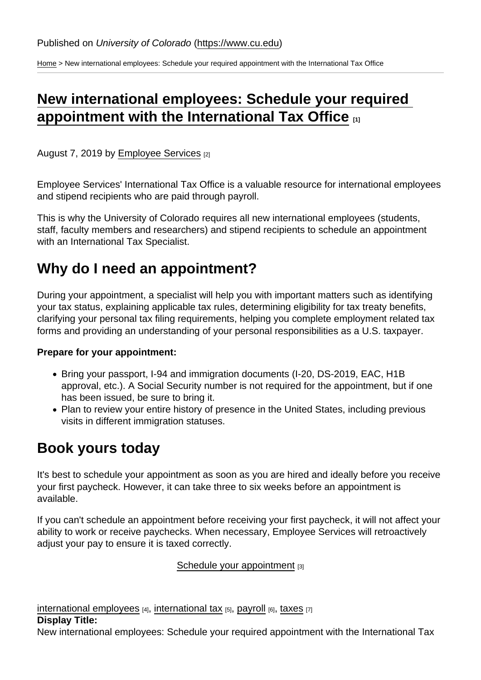[Home](https://www.cu.edu/) > New international employees: Schedule your required appointment with the International Tax Office

# [New international employees: Schedule your required](https://www.cu.edu/blog/work-life/new-international-employees-schedule-your-required-appointment-international-tax)  [appointment with the International Tax Office](https://www.cu.edu/blog/work-life/new-international-employees-schedule-your-required-appointment-international-tax)  $\frac{1}{11}$

August 7, 2019 by [Employee Services](https://www.cu.edu/blog/work-life/author/10695) [2]

Employee Services' International Tax Office is a valuable resource for international employees and stipend recipients who are paid through payroll.

This is why the University of Colorado requires all new international employees (students, staff, faculty members and researchers) and stipend recipients to schedule an appointment with an International Tax Specialist.

# Why do I need an appointment?

During your appointment, a specialist will help you with important matters such as identifying your tax status, explaining applicable tax rules, determining eligibility for tax treaty benefits, clarifying your personal tax filing requirements, helping you complete employment related tax forms and providing an understanding of your personal responsibilities as a U.S. taxpayer.

Prepare for your appointment:

- Bring your passport, I-94 and immigration documents (I-20, DS-2019, EAC, H1B) approval, etc.). A Social Security number is not required for the appointment, but if one has been issued, be sure to bring it.
- Plan to review your entire history of presence in the United States, including previous visits in different immigration statuses.

### Book yours today

It's best to schedule your appointment as soon as you are hired and ideally before you receive your first paycheck. However, it can take three to six weeks before an appointment is available.

If you can't schedule an appointment before receiving your first paycheck, it will not affect your ability to work or receive paychecks. When necessary, Employee Services will retroactively adjust your pay to ensure it is taxed correctly.

[Schedule your appointment](https://booknow.appointment-plus.com/43rspqeq/) [3]

[international employees](https://www.cu.edu/blog/work-life/tag/international-employees)  $[4]$ , [international tax](https://www.cu.edu/blog/work-life/tag/international-tax)  $[5]$ , [payroll](https://www.cu.edu/blog/work-life/tag/payroll)  $[6]$ , [taxes](https://www.cu.edu/blog/work-life/tag/taxes)  $[7]$ Display Title: New international employees: Schedule your required appointment with the International Tax